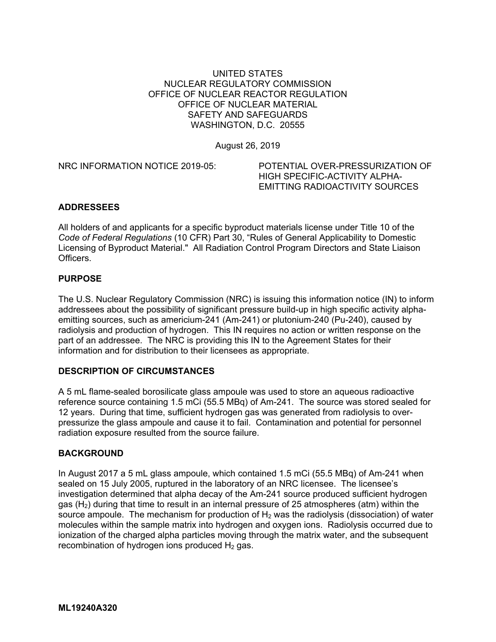## UNITED STATES NUCLEAR REGULATORY COMMISSION OFFICE OF NUCLEAR REACTOR REGULATION OFFICE OF NUCLEAR MATERIAL SAFETY AND SAFEGUARDS WASHINGTON, D.C. 20555

August 26, 2019

NRC INFORMATION NOTICE 2019-05: POTENTIAL OVER-PRESSURIZATION OF

HIGH SPECIFIC-ACTIVITY ALPHA-EMITTING RADIOACTIVITY SOURCES

## **ADDRESSEES**

All holders of and applicants for a specific byproduct materials license under Title 10 of the *Code of Federal Regulations* (10 CFR) Part 30, "Rules of General Applicability to Domestic Licensing of Byproduct Material." All Radiation Control Program Directors and State Liaison Officers.

#### **PURPOSE**

The U.S. Nuclear Regulatory Commission (NRC) is issuing this information notice (IN) to inform addressees about the possibility of significant pressure build-up in high specific activity alphaemitting sources, such as americium-241 (Am-241) or plutonium-240 (Pu-240), caused by radiolysis and production of hydrogen. This IN requires no action or written response on the part of an addressee. The NRC is providing this IN to the Agreement States for their information and for distribution to their licensees as appropriate.

## **DESCRIPTION OF CIRCUMSTANCES**

A 5 mL flame-sealed borosilicate glass ampoule was used to store an aqueous radioactive reference source containing 1.5 mCi (55.5 MBq) of Am-241. The source was stored sealed for 12 years. During that time, sufficient hydrogen gas was generated from radiolysis to overpressurize the glass ampoule and cause it to fail. Contamination and potential for personnel radiation exposure resulted from the source failure.

#### **BACKGROUND**

In August 2017 a 5 mL glass ampoule, which contained 1.5 mCi (55.5 MBq) of Am-241 when sealed on 15 July 2005, ruptured in the laboratory of an NRC licensee. The licensee's investigation determined that alpha decay of the Am-241 source produced sufficient hydrogen gas  $(H<sub>2</sub>)$  during that time to result in an internal pressure of 25 atmospheres (atm) within the source ampoule. The mechanism for production of  $H_2$  was the radiolysis (dissociation) of water molecules within the sample matrix into hydrogen and oxygen ions. Radiolysis occurred due to ionization of the charged alpha particles moving through the matrix water, and the subsequent recombination of hydrogen ions produced  $H_2$  gas.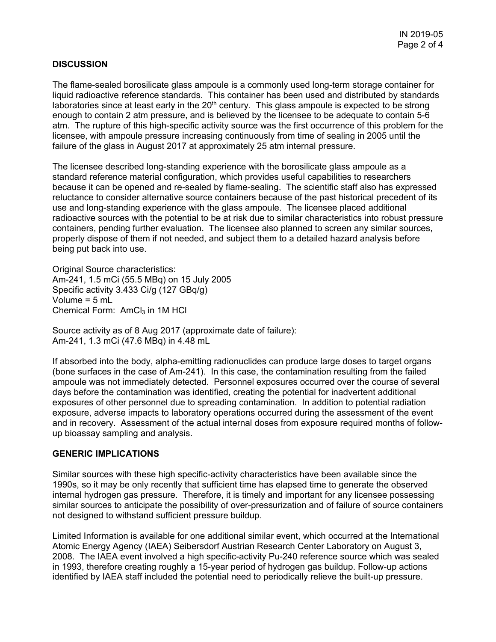## **DISCUSSION**

The flame-sealed borosilicate glass ampoule is a commonly used long-term storage container for liquid radioactive reference standards. This container has been used and distributed by standards laboratories since at least early in the 20<sup>th</sup> century. This glass ampoule is expected to be strong enough to contain 2 atm pressure, and is believed by the licensee to be adequate to contain 5-6 atm. The rupture of this high-specific activity source was the first occurrence of this problem for the licensee, with ampoule pressure increasing continuously from time of sealing in 2005 until the failure of the glass in August 2017 at approximately 25 atm internal pressure.

The licensee described long-standing experience with the borosilicate glass ampoule as a standard reference material configuration, which provides useful capabilities to researchers because it can be opened and re-sealed by flame-sealing. The scientific staff also has expressed reluctance to consider alternative source containers because of the past historical precedent of its use and long-standing experience with the glass ampoule. The licensee placed additional radioactive sources with the potential to be at risk due to similar characteristics into robust pressure containers, pending further evaluation. The licensee also planned to screen any similar sources, properly dispose of them if not needed, and subject them to a detailed hazard analysis before being put back into use.

Original Source characteristics: Am-241, 1.5 mCi (55.5 MBq) on 15 July 2005 Specific activity 3.433 Ci/g (127 GBq/g) Volume = 5 mL Chemical Form:  $AmCl<sub>3</sub>$  in 1M HCl

Source activity as of 8 Aug 2017 (approximate date of failure): Am-241, 1.3 mCi (47.6 MBq) in 4.48 mL

If absorbed into the body, alpha-emitting radionuclides can produce large doses to target organs (bone surfaces in the case of Am-241). In this case, the contamination resulting from the failed ampoule was not immediately detected. Personnel exposures occurred over the course of several days before the contamination was identified, creating the potential for inadvertent additional exposures of other personnel due to spreading contamination. In addition to potential radiation exposure, adverse impacts to laboratory operations occurred during the assessment of the event and in recovery. Assessment of the actual internal doses from exposure required months of followup bioassay sampling and analysis.

#### **GENERIC IMPLICATIONS**

Similar sources with these high specific-activity characteristics have been available since the 1990s, so it may be only recently that sufficient time has elapsed time to generate the observed internal hydrogen gas pressure. Therefore, it is timely and important for any licensee possessing similar sources to anticipate the possibility of over-pressurization and of failure of source containers not designed to withstand sufficient pressure buildup.

Limited Information is available for one additional similar event, which occurred at the International Atomic Energy Agency (IAEA) Seibersdorf Austrian Research Center Laboratory on August 3, 2008. The IAEA event involved a high specific-activity Pu-240 reference source which was sealed in 1993, therefore creating roughly a 15-year period of hydrogen gas buildup. Follow-up actions identified by IAEA staff included the potential need to periodically relieve the built-up pressure.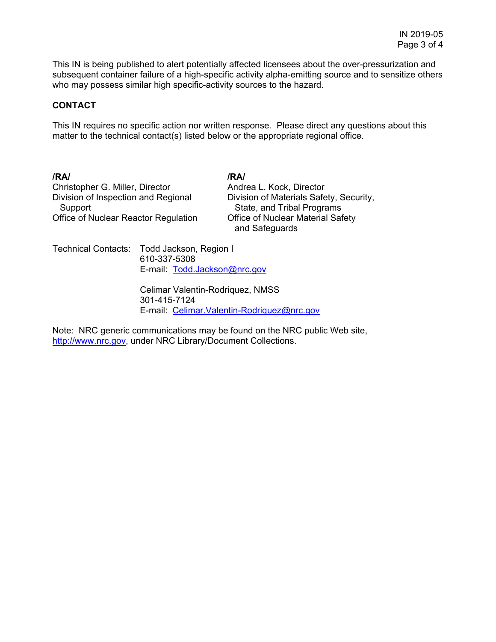This IN is being published to alert potentially affected licensees about the over-pressurization and subsequent container failure of a high-specific activity alpha-emitting source and to sensitize others who may possess similar high specific-activity sources to the hazard.

#### **CONTACT**

This IN requires no specific action nor written response. Please direct any questions about this matter to the technical contact(s) listed below or the appropriate regional office.

**/RA/ /RA/**  Christopher G. Miller, Director **Andrea L. Kock, Director** Division of Inspection and Regional Division of Materials Safety, Security, Support State, and Tribal Programs Office of Nuclear Reactor Regulation Office of Nuclear Material Safety

and Safeguards

Technical Contacts: Todd Jackson, Region I 610-337-5308 E-mail: Todd.Jackson@nrc.gov

> Celimar Valentin-Rodriquez, NMSS 301-415-7124 E-mail: Celimar.Valentin-Rodriquez@nrc.gov

Note: NRC generic communications may be found on the NRC public Web site, http://www.nrc.gov, under NRC Library/Document Collections.